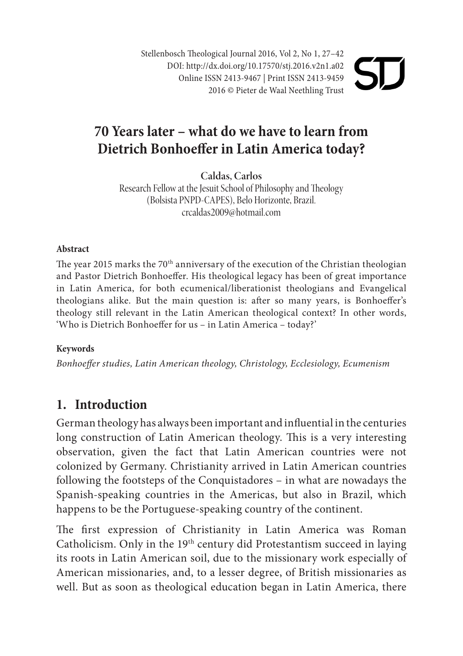Stellenbosch Theological Journal 2016, Vol 2, No 1, 27–42 DOI: http://dx.doi.org/10.17570/stj.2016.v2n1.a02 Online ISSN 2413-9467 | Print ISSN 2413-9459 2016 © Pieter de Waal Neethling Trust

# **70 Years later – what do we have to learn from Dietrich Bonhoeffer in Latin America today?**

**Caldas, Carlos**

Research Fellow at the Jesuit School of Philosophy and Theology (Bolsista PNPD-CAPES), Belo Horizonte, Brazil. crcaldas2009@hotmail.com

#### **Abstract**

The year 2015 marks the 70<sup>th</sup> anniversary of the execution of the Christian theologian and Pastor Dietrich Bonhoeffer. His theological legacy has been of great importance in Latin America, for both ecumenical/liberationist theologians and Evangelical theologians alike. But the main question is: after so many years, is Bonhoeffer's theology still relevant in the Latin American theological context? In other words, 'Who is Dietrich Bonhoeffer for us – in Latin America – today?'

#### **Keywords**

*Bonhoeffer studies, Latin American theology, Christology, Ecclesiology, Ecumenism* 

### **1. Introduction**

German theology has always been important and influential in the centuries long construction of Latin American theology. This is a very interesting observation, given the fact that Latin American countries were not colonized by Germany. Christianity arrived in Latin American countries following the footsteps of the Conquistadores – in what are nowadays the Spanish-speaking countries in the Americas, but also in Brazil, which happens to be the Portuguese-speaking country of the continent.

The first expression of Christianity in Latin America was Roman Catholicism. Only in the 19<sup>th</sup> century did Protestantism succeed in laying its roots in Latin American soil, due to the missionary work especially of American missionaries, and, to a lesser degree, of British missionaries as well. But as soon as theological education began in Latin America, there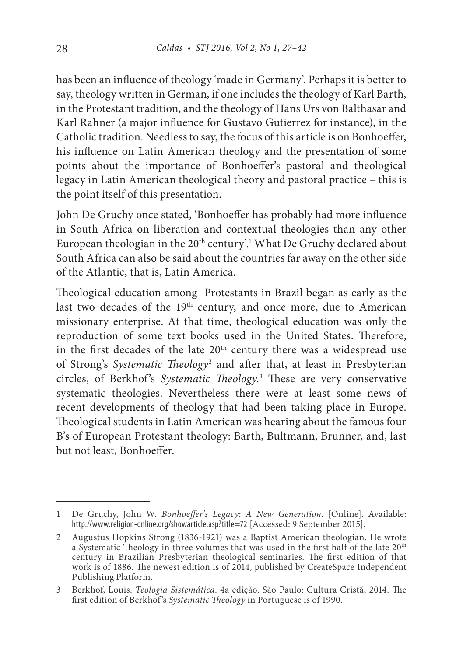has been an influence of theology 'made in Germany'. Perhaps it is better to say, theology written in German, if one includes the theology of Karl Barth, in the Protestant tradition, and the theology of Hans Urs von Balthasar and Karl Rahner (a major influence for Gustavo Gutierrez for instance), in the Catholic tradition. Needless to say, the focus of this article is on Bonhoeffer, his influence on Latin American theology and the presentation of some points about the importance of Bonhoeffer's pastoral and theological legacy in Latin American theological theory and pastoral practice – this is the point itself of this presentation.

John De Gruchy once stated, 'Bonhoeffer has probably had more influence in South Africa on liberation and contextual theologies than any other European theologian in the  $20<sup>th</sup>$  century'.<sup>1</sup> What De Gruchy declared about South Africa can also be said about the countries far away on the other side of the Atlantic, that is, Latin America.

Theological education among Protestants in Brazil began as early as the last two decades of the 19<sup>th</sup> century, and once more, due to American missionary enterprise. At that time, theological education was only the reproduction of some text books used in the United States. Therefore, in the first decades of the late 20<sup>th</sup> century there was a widespread use of Strong's *Systematic Theology*<sup>2</sup> and after that, at least in Presbyterian circles, of Berkhof's *Systematic Theology*. 3 These are very conservative systematic theologies. Nevertheless there were at least some news of recent developments of theology that had been taking place in Europe. Theological students in Latin American was hearing about the famous four B's of European Protestant theology: Barth, Bultmann, Brunner, and, last but not least, Bonhoeffer.

<sup>1</sup> De Gruchy, John W. *Bonhoeffer's Legacy: A New Generation*. [Online]. Available: http://www.religion-online.org/showarticle.asp?title=72 [Accessed: 9 September 2015].

<sup>2</sup> Augustus Hopkins Strong (1836-1921) was a Baptist American theologian. He wrote a Systematic Theology in three volumes that was used in the first half of the late 20<sup>th</sup> century in Brazilian Presbyterian theological seminaries. The first edition of that work is of 1886. The newest edition is of 2014, published by CreateSpace Independent Publishing Platform.

<sup>3</sup> Berkhof, Louis. *Teologia Sistemática*. 4a edição. São Paulo: Cultura Cristã, 2014. The first edition of Berkhof's *Systematic Theology* in Portuguese is of 1990.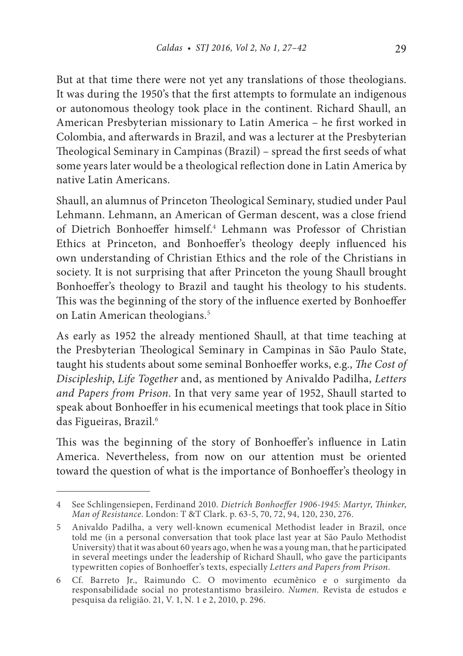But at that time there were not yet any translations of those theologians. It was during the 1950's that the first attempts to formulate an indigenous or autonomous theology took place in the continent. Richard Shaull, an American Presbyterian missionary to Latin America – he first worked in Colombia, and afterwards in Brazil, and was a lecturer at the Presbyterian Theological Seminary in Campinas (Brazil) – spread the first seeds of what some years later would be a theological reflection done in Latin America by native Latin Americans.

Shaull, an alumnus of Princeton Theological Seminary, studied under Paul Lehmann. Lehmann, an American of German descent, was a close friend of Dietrich Bonhoeffer himself.<sup>4</sup> Lehmann was Professor of Christian Ethics at Princeton, and Bonhoeffer's theology deeply influenced his own understanding of Christian Ethics and the role of the Christians in society. It is not surprising that after Princeton the young Shaull brought Bonhoeffer's theology to Brazil and taught his theology to his students. This was the beginning of the story of the influence exerted by Bonhoeffer on Latin American theologians.<sup>5</sup>

As early as 1952 the already mentioned Shaull, at that time teaching at the Presbyterian Theological Seminary in Campinas in São Paulo State, taught his students about some seminal Bonhoeffer works, e.g., *The Cost of Discipleship*, *Life Together* and, as mentioned by Anivaldo Padilha, *Letters and Papers from Prison*. In that very same year of 1952, Shaull started to speak about Bonhoeffer in his ecumenical meetings that took place in Sítio das Figueiras, Brazil.<sup>6</sup>

This was the beginning of the story of Bonhoeffer's influence in Latin America. Nevertheless, from now on our attention must be oriented toward the question of what is the importance of Bonhoeffer's theology in

<sup>4</sup> See Schlingensiepen, Ferdinand 2010. *Dietrich Bonhoeffer 1906-1945: Martyr*, *Thinker*, *Man of Resistance*. London: T &T Clark. p. 63-5, 70, 72, 94, 120, 230, 276.

<sup>5</sup> Anivaldo Padilha, a very well-known ecumenical Methodist leader in Brazil, once told me (in a personal conversation that took place last year at São Paulo Methodist University) that it was about 60 years ago, when he was a young man, that he participated in several meetings under the leadership of Richard Shaull, who gave the participants typewritten copies of Bonhoeffer's texts, especially *Letters and Papers from Prison*.

<sup>6</sup> Cf. Barreto Jr., Raimundo C. O movimento ecumênico e o surgimento da responsabilidade social no protestantismo brasileiro. *Numen*. Revista de estudos e pesquisa da religião. 21, V. 1, N. 1 e 2, 2010, p. 296.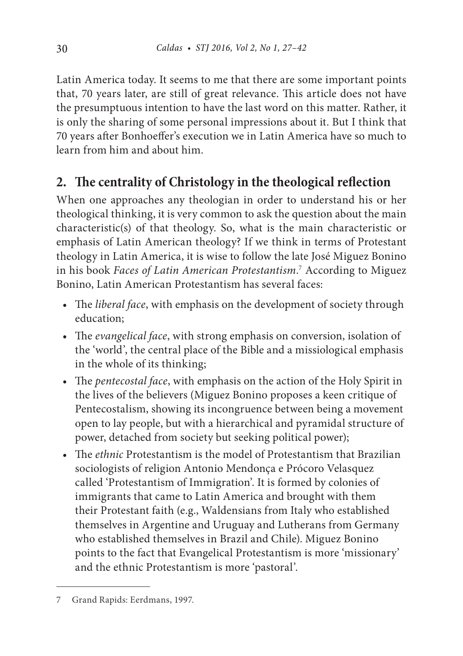Latin America today. It seems to me that there are some important points that, 70 years later, are still of great relevance. This article does not have the presumptuous intention to have the last word on this matter. Rather, it is only the sharing of some personal impressions about it. But I think that 70 years after Bonhoeffer's execution we in Latin America have so much to learn from him and about him.

## **2. The centrality of Christology in the theological reflection**

When one approaches any theologian in order to understand his or her theological thinking, it is very common to ask the question about the main characteristic(s) of that theology. So, what is the main characteristic or emphasis of Latin American theology? If we think in terms of Protestant theology in Latin America, it is wise to follow the late José Miguez Bonino in his book *Faces of Latin American Protestantism*. 7 According to Miguez Bonino, Latin American Protestantism has several faces:

- The *liberal face*, with emphasis on the development of society through education;
- The *evangelical face*, with strong emphasis on conversion, isolation of the 'world', the central place of the Bible and a missiological emphasis in the whole of its thinking;
- The *pentecostal face*, with emphasis on the action of the Holy Spirit in the lives of the believers (Miguez Bonino proposes a keen critique of Pentecostalism, showing its incongruence between being a movement open to lay people, but with a hierarchical and pyramidal structure of power, detached from society but seeking political power);
- The *ethnic* Protestantism is the model of Protestantism that Brazilian sociologists of religion Antonio Mendonça e Prócoro Velasquez called 'Protestantism of Immigration'. It is formed by colonies of immigrants that came to Latin America and brought with them their Protestant faith (e.g., Waldensians from Italy who established themselves in Argentine and Uruguay and Lutherans from Germany who established themselves in Brazil and Chile). Miguez Bonino points to the fact that Evangelical Protestantism is more 'missionary' and the ethnic Protestantism is more 'pastoral'.

<sup>7</sup> Grand Rapids: Eerdmans, 1997.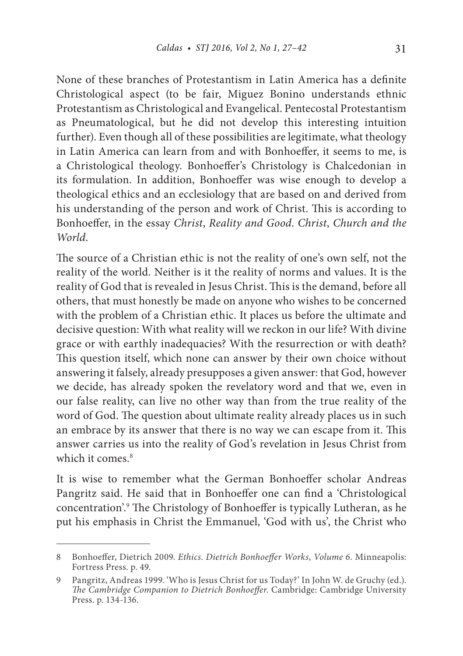None of these branches of Protestantism in Latin America has a definite Christological aspect (to be fair, Miguez Bonino understands ethnic Protestantism as Christological and Evangelical. Pentecostal Protestantism as Pneumatological, but he did not develop this interesting intuition further). Even though all of these possibilities are legitimate, what theology in Latin America can learn from and with Bonhoeffer, it seems to me, is a Christological theology. Bonhoeffer's Christology is Chalcedonian in its formulation. In addition, Bonhoeffer was wise enough to develop a theological ethics and an ecclesiology that are based on and derived from his understanding of the person and work of Christ. This is according to Bonhoeffer, in the essay *Christ*, *Reality and Good*. *Christ*, *Church and the World*.

The source of a Christian ethic is not the reality of one's own self, not the reality of the world. Neither is it the reality of norms and values. It is the reality of God that is revealed in Jesus Christ. This is the demand, before all others, that must honestly be made on anyone who wishes to be concerned with the problem of a Christian ethic. It places us before the ultimate and decisive question: With what reality will we reckon in our life? With divine grace or with earthly inadequacies? With the resurrection or with death? This question itself, which none can answer by their own choice without answering it falsely, already presupposes a given answer: that God, however we decide, has already spoken the revelatory word and that we, even in our false reality, can live no other way than from the true reality of the word of God. The question about ultimate reality already places us in such an embrace by its answer that there is no way we can escape from it. This answer carries us into the reality of God's revelation in Jesus Christ from which it comes  $8$ 

It is wise to remember what the German Bonhoeffer scholar Andreas Pangritz said. He said that in Bonhoeffer one can find a 'Christological concentration'.9 The Christology of Bonhoeffer is typically Lutheran, as he put his emphasis in Christ the Emmanuel, 'God with us', the Christ who

<sup>8</sup> Bonhoeffer, Dietrich 2009. *Ethics*. *Dietrich Bonhoeffer Works*, *Volume 6*. Minneapolis: Fortress Press. p. 49.

<sup>9</sup> Pangritz, Andreas 1999. 'Who is Jesus Christ for us Today?' In John W. de Gruchy (ed.). *The Cambridge Companion to Dietrich Bonhoeffer*. Cambridge: Cambridge University Press. p. 134-136.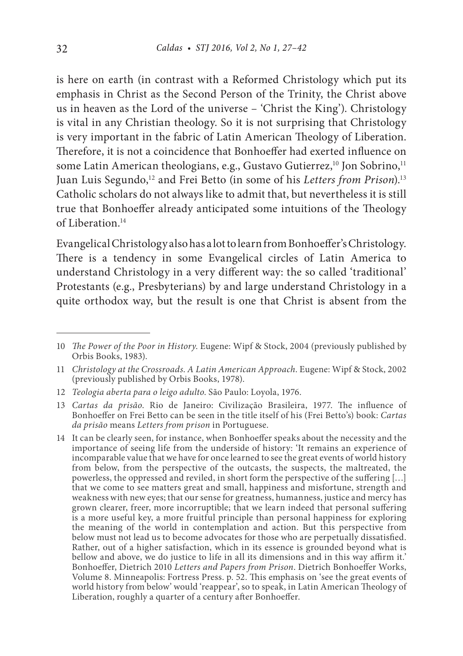is here on earth (in contrast with a Reformed Christology which put its emphasis in Christ as the Second Person of the Trinity, the Christ above us in heaven as the Lord of the universe – 'Christ the King'). Christology is vital in any Christian theology. So it is not surprising that Christology is very important in the fabric of Latin American Theology of Liberation. Therefore, it is not a coincidence that Bonhoeffer had exerted influence on some Latin American theologians, e.g., Gustavo Gutierrez,<sup>10</sup> Jon Sobrino,<sup>11</sup> Juan Luis Segundo,<sup>12</sup> and Frei Betto (in some of his *Letters from Prison*).<sup>13</sup> Catholic scholars do not always like to admit that, but nevertheless it is still true that Bonhoeffer already anticipated some intuitions of the Theology of Liberation<sup>14</sup>

Evangelical Christology also has a lot to learn from Bonhoeffer's Christology. There is a tendency in some Evangelical circles of Latin America to understand Christology in a very different way: the so called 'traditional' Protestants (e.g., Presbyterians) by and large understand Christology in a quite orthodox way, but the result is one that Christ is absent from the

<sup>10</sup> *The Power of the Poor in History*. Eugene: Wipf & Stock, 2004 (previously published by Orbis Books, 1983).

<sup>11</sup> *Christology at the Crossroads*. *A Latin American Approach*. Eugene: Wipf & Stock, 2002 (previously published by Orbis Books, 1978).

<sup>12</sup> *Teologia aberta para o leigo adulto*. São Paulo: Loyola, 1976.

<sup>13</sup> *Cartas da prisão*. Rio de Janeiro: Civilização Brasileira, 1977. The influence of Bonhoeffer on Frei Betto can be seen in the title itself of his (Frei Betto's) book: *Cartas da prisão* means *Letters from prison* in Portuguese.

<sup>14</sup> It can be clearly seen, for instance, when Bonhoeffer speaks about the necessity and the importance of seeing life from the underside of history: 'It remains an experience of incomparable value that we have for once learned to see the great events of world history from below, from the perspective of the outcasts, the suspects, the maltreated, the powerless, the oppressed and reviled, in short form the perspective of the suffering […] that we come to see matters great and small, happiness and misfortune, strength and weakness with new eyes; that our sense for greatness, humanness, justice and mercy has grown clearer, freer, more incorruptible; that we learn indeed that personal suffering is a more useful key, a more fruitful principle than personal happiness for exploring the meaning of the world in contemplation and action. But this perspective from below must not lead us to become advocates for those who are perpetually dissatisfied. Rather, out of a higher satisfaction, which in its essence is grounded beyond what is bellow and above, we do justice to life in all its dimensions and in this way affirm it.' Bonhoeffer, Dietrich 2010 *Letters and Papers from Prison*. Dietrich Bonhoeffer Works, Volume 8. Minneapolis: Fortress Press. p. 52. This emphasis on 'see the great events of world history from below' would 'reappear', so to speak, in Latin American Theology of Liberation, roughly a quarter of a century after Bonhoeffer.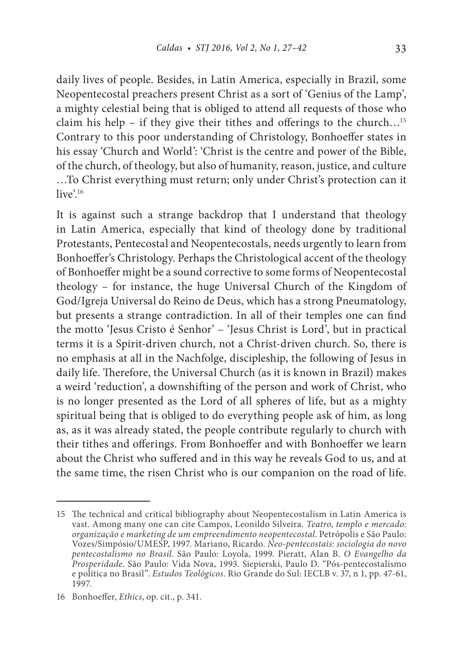daily lives of people. Besides, in Latin America, especially in Brazil, some Neopentecostal preachers present Christ as a sort of 'Genius of the Lamp', a mighty celestial being that is obliged to attend all requests of those who claim his help – if they give their tithes and offerings to the church...<sup>15</sup> Contrary to this poor understanding of Christology, Bonhoeffer states in his essay 'Church and World': 'Christ is the centre and power of the Bible, of the church, of theology, but also of humanity, reason, justice, and culture …To Christ everything must return; only under Christ's protection can it live'.<sup>16</sup>

It is against such a strange backdrop that I understand that theology in Latin America, especially that kind of theology done by traditional Protestants, Pentecostal and Neopentecostals, needs urgently to learn from Bonhoeffer's Christology. Perhaps the Christological accent of the theology of Bonhoeffer might be a sound corrective to some forms of Neopentecostal theology – for instance, the huge Universal Church of the Kingdom of God/Igreja Universal do Reino de Deus, which has a strong Pneumatology, but presents a strange contradiction. In all of their temples one can find the motto 'Jesus Cristo é Senhor' – 'Jesus Christ is Lord', but in practical terms it is a Spirit-driven church, not a Christ-driven church. So, there is no emphasis at all in the Nachfolge, discipleship, the following of Jesus in daily life. Therefore, the Universal Church (as it is known in Brazil) makes a weird 'reduction', a downshifting of the person and work of Christ, who is no longer presented as the Lord of all spheres of life, but as a mighty spiritual being that is obliged to do everything people ask of him, as long as, as it was already stated, the people contribute regularly to church with their tithes and offerings. From Bonhoeffer and with Bonhoeffer we learn about the Christ who suffered and in this way he reveals God to us, and at the same time, the risen Christ who is our companion on the road of life.

<sup>15</sup> The technical and critical bibliography about Neopentecostalism in Latin America is vast. Among many one can cite Campos, Leonildo Silveira. *Teatro*, *templo e mercado: organização e marketing de um empreendimento neopentecostal*. Petrópolis e São Paulo: Vozes/Simpósio/UMESP, 1997. Mariano, Ricardo. *Neo-pentecostais: sociologia do novo pentecostalismo no Brasil*. São Paulo: Loyola, 1999. Pieratt, Alan B. *O Evangelho da Prosperidade*. São Paulo: Vida Nova, 1993. Siepierski, Paulo D. "Pós-pentecostalismo e política no Brasil". *Estudos Teológicos*. Rio Grande do Sul: IECLB v. 37, n 1, pp. 47-61, 1997.

<sup>16</sup> Bonhoeffer, *Ethics*, op. cit., p. 341.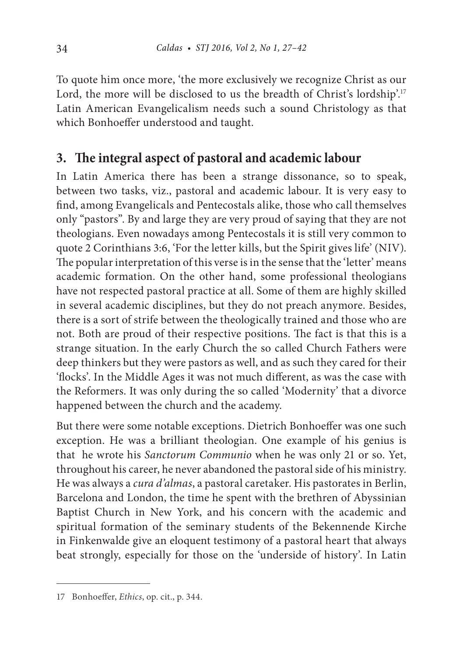To quote him once more, 'the more exclusively we recognize Christ as our Lord, the more will be disclosed to us the breadth of Christ's lordship'.<sup>17</sup> Latin American Evangelicalism needs such a sound Christology as that which Bonhoeffer understood and taught.

### **3. The integral aspect of pastoral and academic labour**

In Latin America there has been a strange dissonance, so to speak, between two tasks, viz., pastoral and academic labour. It is very easy to find, among Evangelicals and Pentecostals alike, those who call themselves only "pastors". By and large they are very proud of saying that they are not theologians. Even nowadays among Pentecostals it is still very common to quote 2 Corinthians 3:6, 'For the letter kills, but the Spirit gives life' (NIV). The popular interpretation of this verse is in the sense that the 'letter' means academic formation. On the other hand, some professional theologians have not respected pastoral practice at all. Some of them are highly skilled in several academic disciplines, but they do not preach anymore. Besides, there is a sort of strife between the theologically trained and those who are not. Both are proud of their respective positions. The fact is that this is a strange situation. In the early Church the so called Church Fathers were deep thinkers but they were pastors as well, and as such they cared for their 'flocks'. In the Middle Ages it was not much different, as was the case with the Reformers. It was only during the so called 'Modernity' that a divorce happened between the church and the academy.

But there were some notable exceptions. Dietrich Bonhoeffer was one such exception. He was a brilliant theologian. One example of his genius is that he wrote his *Sanctorum Communio* when he was only 21 or so. Yet, throughout his career, he never abandoned the pastoral side of his ministry. He was always a *cura d'almas*, a pastoral caretaker. His pastorates in Berlin, Barcelona and London, the time he spent with the brethren of Abyssinian Baptist Church in New York, and his concern with the academic and spiritual formation of the seminary students of the Bekennende Kirche in Finkenwalde give an eloquent testimony of a pastoral heart that always beat strongly, especially for those on the 'underside of history'. In Latin

<sup>17</sup> Bonhoeffer, *Ethics*, op. cit., p. 344.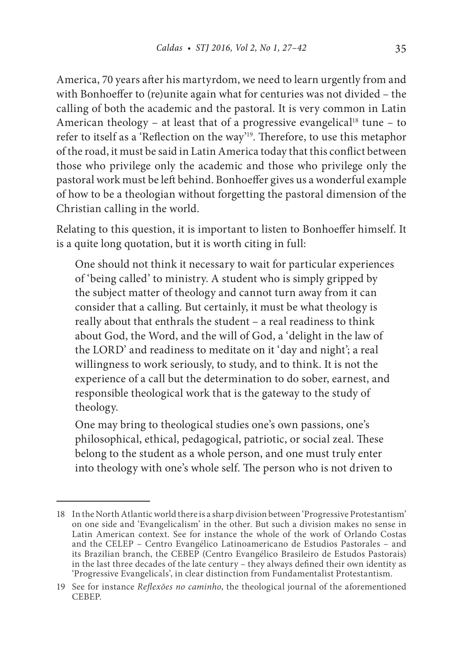America, 70 years after his martyrdom, we need to learn urgently from and with Bonhoeffer to (re)unite again what for centuries was not divided – the calling of both the academic and the pastoral. It is very common in Latin American theology – at least that of a progressive evangelical<sup>18</sup> tune – to refer to itself as a 'Reflection on the way'19. Therefore, to use this metaphor of the road, it must be said in Latin America today that this conflict between those who privilege only the academic and those who privilege only the pastoral work must be left behind. Bonhoeffer gives us a wonderful example of how to be a theologian without forgetting the pastoral dimension of the Christian calling in the world.

Relating to this question, it is important to listen to Bonhoeffer himself. It is a quite long quotation, but it is worth citing in full:

One should not think it necessary to wait for particular experiences of 'being called' to ministry. A student who is simply gripped by the subject matter of theology and cannot turn away from it can consider that a calling. But certainly, it must be what theology is really about that enthrals the student – a real readiness to think about God, the Word, and the will of God, a 'delight in the law of the LORD' and readiness to meditate on it 'day and night'; a real willingness to work seriously, to study, and to think. It is not the experience of a call but the determination to do sober, earnest, and responsible theological work that is the gateway to the study of theology.

One may bring to theological studies one's own passions, one's philosophical, ethical, pedagogical, patriotic, or social zeal. These belong to the student as a whole person, and one must truly enter into theology with one's whole self. The person who is not driven to

<sup>18</sup> In the North Atlantic world there is a sharp division between 'Progressive Protestantism' on one side and 'Evangelicalism' in the other. But such a division makes no sense in Latin American context. See for instance the whole of the work of Orlando Costas and the CELEP – Centro Evangélico Latinoamericano de Estudios Pastorales – and its Brazilian branch, the CEBEP (Centro Evangélico Brasileiro de Estudos Pastorais) in the last three decades of the late century – they always defined their own identity as 'Progressive Evangelicals', in clear distinction from Fundamentalist Protestantism.

<sup>19</sup> See for instance *Reflexões no caminho*, the theological journal of the aforementioned CEBEP.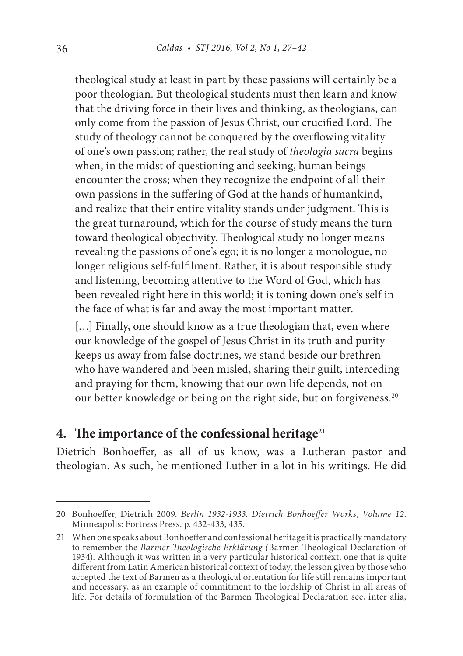theological study at least in part by these passions will certainly be a poor theologian. But theological students must then learn and know that the driving force in their lives and thinking, as theologians, can only come from the passion of Jesus Christ, our crucified Lord. The study of theology cannot be conquered by the overflowing vitality of one's own passion; rather, the real study of *theologia sacra* begins when, in the midst of questioning and seeking, human beings encounter the cross; when they recognize the endpoint of all their own passions in the suffering of God at the hands of humankind, and realize that their entire vitality stands under judgment. This is the great turnaround, which for the course of study means the turn toward theological objectivity. Theological study no longer means revealing the passions of one's ego; it is no longer a monologue, no longer religious self-fulfilment. Rather, it is about responsible study and listening, becoming attentive to the Word of God, which has been revealed right here in this world; it is toning down one's self in the face of what is far and away the most important matter.

[...] Finally, one should know as a true theologian that, even where our knowledge of the gospel of Jesus Christ in its truth and purity keeps us away from false doctrines, we stand beside our brethren who have wandered and been misled, sharing their guilt, interceding and praying for them, knowing that our own life depends, not on our better knowledge or being on the right side, but on forgiveness.<sup>20</sup>

#### **4. The importance of the confessional heritage21**

Dietrich Bonhoeffer, as all of us know, was a Lutheran pastor and theologian. As such, he mentioned Luther in a lot in his writings. He did

<sup>20</sup> Bonhoeffer, Dietrich 2009. *Berlin 1932-1933*. *Dietrich Bonhoeffer Works*, *Volume 12*. Minneapolis: Fortress Press. p. 432-433, 435.

<sup>21</sup> When one speaks about Bonhoeffer and confessional heritage it is practically mandatory to remember the *Barmer Theologische Erklärung (*Barmen Theological Declaration of 1934). Although it was written in a very particular historical context, one that is quite different from Latin American historical context of today, the lesson given by those who accepted the text of Barmen as a theological orientation for life still remains important and necessary, as an example of commitment to the lordship of Christ in all areas of life. For details of formulation of the Barmen Theological Declaration see, inter alia,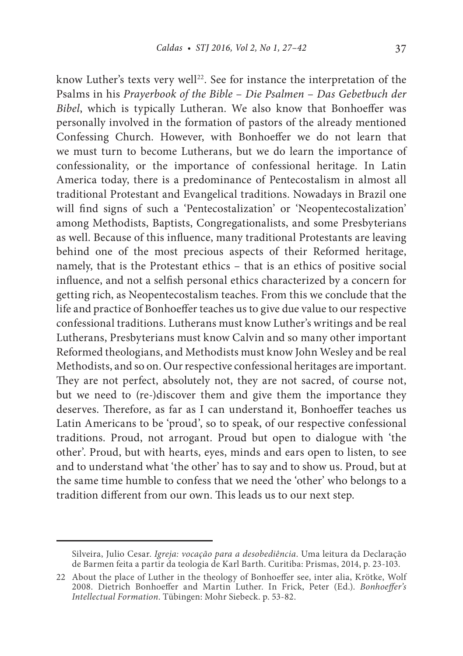know Luther's texts very well<sup>22</sup>. See for instance the interpretation of the Psalms in his *Prayerbook of the Bible* – *Die Psalmen* – *Das Gebetbuch der Bibel*, which is typically Lutheran. We also know that Bonhoeffer was personally involved in the formation of pastors of the already mentioned Confessing Church. However, with Bonhoeffer we do not learn that we must turn to become Lutherans, but we do learn the importance of confessionality, or the importance of confessional heritage. In Latin America today, there is a predominance of Pentecostalism in almost all traditional Protestant and Evangelical traditions. Nowadays in Brazil one will find signs of such a 'Pentecostalization' or 'Neopentecostalization' among Methodists, Baptists, Congregationalists, and some Presbyterians as well. Because of this influence, many traditional Protestants are leaving behind one of the most precious aspects of their Reformed heritage, namely, that is the Protestant ethics – that is an ethics of positive social influence, and not a selfish personal ethics characterized by a concern for getting rich, as Neopentecostalism teaches. From this we conclude that the life and practice of Bonhoeffer teaches us to give due value to our respective confessional traditions. Lutherans must know Luther's writings and be real Lutherans, Presbyterians must know Calvin and so many other important Reformed theologians, and Methodists must know John Wesley and be real Methodists, and so on. Our respective confessional heritages are important. They are not perfect, absolutely not, they are not sacred, of course not, but we need to (re-)discover them and give them the importance they deserves. Therefore, as far as I can understand it, Bonhoeffer teaches us Latin Americans to be 'proud', so to speak, of our respective confessional traditions. Proud, not arrogant. Proud but open to dialogue with 'the other'. Proud, but with hearts, eyes, minds and ears open to listen, to see and to understand what 'the other' has to say and to show us. Proud, but at the same time humble to confess that we need the 'other' who belongs to a tradition different from our own. This leads us to our next step.

Silveira, Julio Cesar. *Igreja: vocação para a desobediência*. Uma leitura da Declaração de Barmen feita a partir da teologia de Karl Barth. Curitiba: Prismas, 2014, p. 23-103.

<sup>22</sup> About the place of Luther in the theology of Bonhoeffer see, inter alia, Krötke, Wolf 2008. Dietrich Bonhoeffer and Martin Luther. In Frick, Peter (Ed.). *Bonhoeffer's Intellectual Formation*. Tübingen: Mohr Siebeck. p. 53-82.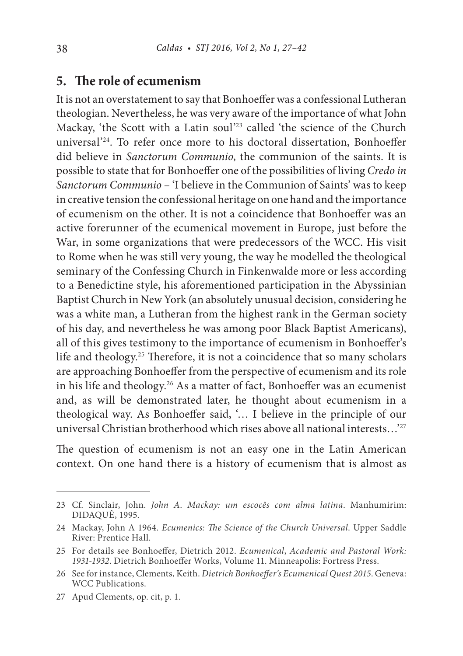#### **5. The role of ecumenism**

It is not an overstatement to say that Bonhoeffer was a confessional Lutheran theologian. Nevertheless, he was very aware of the importance of what John Mackay, 'the Scott with a Latin soul'23 called 'the science of the Church universal'24. To refer once more to his doctoral dissertation, Bonhoeffer did believe in *Sanctorum Communio*, the communion of the saints. It is possible to state that for Bonhoeffer one of the possibilities of living *Credo in Sanctorum Communio* – 'I believe in the Communion of Saints' was to keep in creative tension the confessional heritage on one hand and the importance of ecumenism on the other. It is not a coincidence that Bonhoeffer was an active forerunner of the ecumenical movement in Europe, just before the War, in some organizations that were predecessors of the WCC. His visit to Rome when he was still very young, the way he modelled the theological seminary of the Confessing Church in Finkenwalde more or less according to a Benedictine style, his aforementioned participation in the Abyssinian Baptist Church in New York (an absolutely unusual decision, considering he was a white man, a Lutheran from the highest rank in the German society of his day, and nevertheless he was among poor Black Baptist Americans), all of this gives testimony to the importance of ecumenism in Bonhoeffer's life and theology.25 Therefore, it is not a coincidence that so many scholars are approaching Bonhoeffer from the perspective of ecumenism and its role in his life and theology.26 As a matter of fact, Bonhoeffer was an ecumenist and, as will be demonstrated later, he thought about ecumenism in a theological way. As Bonhoeffer said, '… I believe in the principle of our universal Christian brotherhood which rises above all national interests…'27

The question of ecumenism is not an easy one in the Latin American context. On one hand there is a history of ecumenism that is almost as

<sup>23</sup> Cf. Sinclair, John. *John A*. *Mackay: um escocês com alma latina*. Manhumirim: DIDAQUÊ, 1995.

<sup>24</sup> Mackay, John A 1964. *Ecumenics: The Science of the Church Universal*. Upper Saddle River: Prentice Hall.

<sup>25</sup> For details see Bonhoeffer, Dietrich 2012. *Ecumenical*, *Academic and Pastoral Work: 1931-1932*. Dietrich Bonhoeffer Works, Volume 11. Minneapolis: Fortress Press.

<sup>26</sup> See for instance, Clements, Keith. *Dietrich Bonhoeffer's Ecumenical Quest 2015*. Geneva: WCC Publications.

<sup>27</sup> Apud Clements, op. cit, p. 1.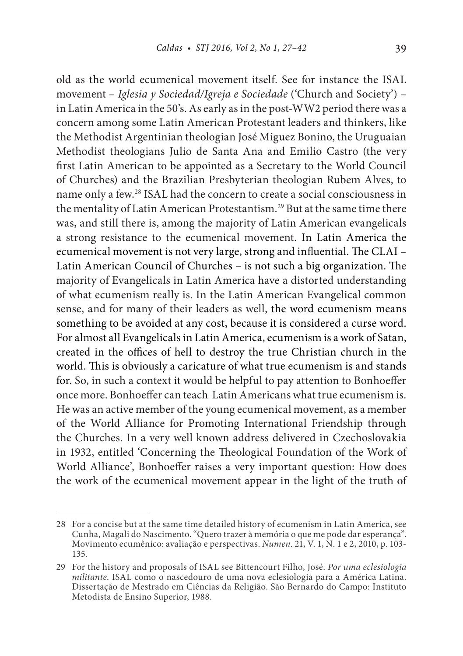old as the world ecumenical movement itself. See for instance the ISAL movement – *Iglesia y Sociedad/Igreja e Sociedade* ('Church and Society') – in Latin America in the 50's. As early as in the post-WW2 period there was a concern among some Latin American Protestant leaders and thinkers, like the Methodist Argentinian theologian José Miguez Bonino, the Uruguaian Methodist theologians Julio de Santa Ana and Emilio Castro (the very first Latin American to be appointed as a Secretary to the World Council of Churches) and the Brazilian Presbyterian theologian Rubem Alves, to name only a few.28 ISAL had the concern to create a social consciousness in the mentality of Latin American Protestantism.<sup>29</sup> But at the same time there was, and still there is, among the majority of Latin American evangelicals a strong resistance to the ecumenical movement. In Latin America the ecumenical movement is not very large, strong and influential. The CLAI – Latin American Council of Churches – is not such a big organization. The majority of Evangelicals in Latin America have a distorted understanding of what ecumenism really is. In the Latin American Evangelical common sense, and for many of their leaders as well, the word ecumenism means something to be avoided at any cost, because it is considered a curse word. For almost all Evangelicals in Latin America, ecumenism is a work of Satan, created in the offices of hell to destroy the true Christian church in the world. This is obviously a caricature of what true ecumenism is and stands for. So, in such a context it would be helpful to pay attention to Bonhoeffer once more. Bonhoeffer can teach Latin Americans what true ecumenism is. He was an active member of the young ecumenical movement, as a member of the World Alliance for Promoting International Friendship through the Churches. In a very well known address delivered in Czechoslovakia in 1932, entitled 'Concerning the Theological Foundation of the Work of World Alliance', Bonhoeffer raises a very important question: How does the work of the ecumenical movement appear in the light of the truth of

<sup>28</sup> For a concise but at the same time detailed history of ecumenism in Latin America, see Cunha, Magali do Nascimento. "Quero trazer à memória o que me pode dar esperança". Movimento ecumênico: avaliação e perspectivas. *Numen*. 21, V. 1, N. 1 e 2, 2010, p. 103- 135.

<sup>29</sup> For the history and proposals of ISAL see Bittencourt Filho, José. *Por uma eclesiologia militante*. ISAL como o nascedouro de uma nova eclesiologia para a América Latina. Dissertação de Mestrado em Ciências da Religião. São Bernardo do Campo: Instituto Metodista de Ensino Superior, 1988.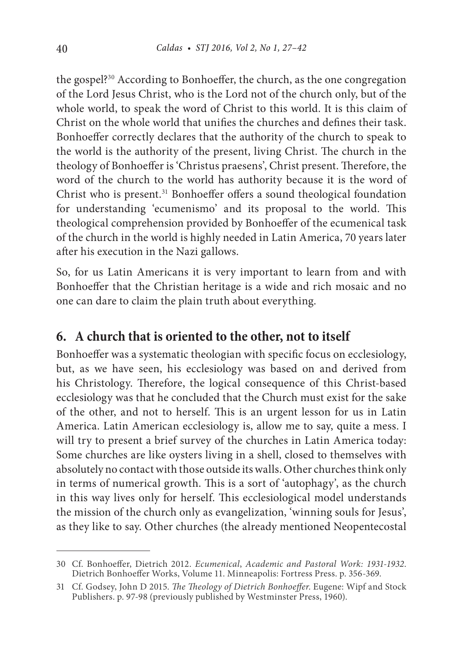the gospel?30 According to Bonhoeffer, the church, as the one congregation of the Lord Jesus Christ, who is the Lord not of the church only, but of the whole world, to speak the word of Christ to this world. It is this claim of Christ on the whole world that unifies the churches and defines their task. Bonhoeffer correctly declares that the authority of the church to speak to the world is the authority of the present, living Christ. The church in the theology of Bonhoeffer is 'Christus praesens', Christ present. Therefore, the word of the church to the world has authority because it is the word of Christ who is present.<sup>31</sup> Bonhoeffer offers a sound theological foundation for understanding 'ecumenismo' and its proposal to the world. This theological comprehension provided by Bonhoeffer of the ecumenical task of the church in the world is highly needed in Latin America, 70 years later after his execution in the Nazi gallows.

So, for us Latin Americans it is very important to learn from and with Bonhoeffer that the Christian heritage is a wide and rich mosaic and no one can dare to claim the plain truth about everything.

### **6. A church that is oriented to the other, not to itself**

Bonhoeffer was a systematic theologian with specific focus on ecclesiology, but, as we have seen, his ecclesiology was based on and derived from his Christology. Therefore, the logical consequence of this Christ-based ecclesiology was that he concluded that the Church must exist for the sake of the other, and not to herself. This is an urgent lesson for us in Latin America. Latin American ecclesiology is, allow me to say, quite a mess. I will try to present a brief survey of the churches in Latin America today: Some churches are like oysters living in a shell, closed to themselves with absolutely no contact with those outside its walls. Other churches think only in terms of numerical growth. This is a sort of 'autophagy', as the church in this way lives only for herself. This ecclesiological model understands the mission of the church only as evangelization, 'winning souls for Jesus', as they like to say. Other churches (the already mentioned Neopentecostal

<sup>30</sup> Cf. Bonhoeffer, Dietrich 2012. *Ecumenical*, *Academic and Pastoral Work: 1931-1932*. Dietrich Bonhoeffer Works, Volume 11. Minneapolis: Fortress Press. p. 356-369.

<sup>31</sup> Cf. Godsey, John D 2015. *The Theology of Dietrich Bonhoeffer*. Eugene: Wipf and Stock Publishers. p. 97-98 (previously published by Westminster Press, 1960).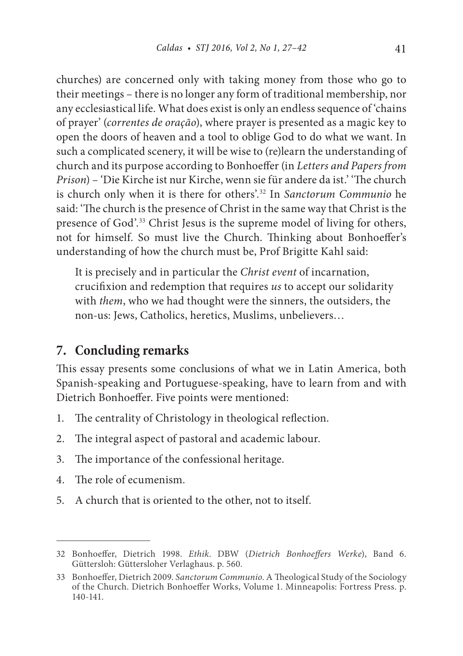churches) are concerned only with taking money from those who go to their meetings – there is no longer any form of traditional membership, nor any ecclesiastical life. What does exist is only an endless sequence of 'chains of prayer' (*correntes de oração*), where prayer is presented as a magic key to open the doors of heaven and a tool to oblige God to do what we want. In such a complicated scenery, it will be wise to (re)learn the understanding of church and its purpose according to Bonhoeffer (in *Letters and Papers from Prison*) – 'Die Kirche ist nur Kirche, wenn sie für andere da ist.' 'The church is church only when it is there for others'.32 In *Sanctorum Communio* he said: 'The church is the presence of Christ in the same way that Christ is the presence of God'.33 Christ Jesus is the supreme model of living for others, not for himself. So must live the Church. Thinking about Bonhoeffer's understanding of how the church must be, Prof Brigitte Kahl said:

It is precisely and in particular the *Christ event* of incarnation, crucifixion and redemption that requires *us* to accept our solidarity with *them*, who we had thought were the sinners, the outsiders, the non-us: Jews, Catholics, heretics, Muslims, unbelievers…

#### **7. Concluding remarks**

This essay presents some conclusions of what we in Latin America, both Spanish-speaking and Portuguese-speaking, have to learn from and with Dietrich Bonhoeffer. Five points were mentioned:

- 1. The centrality of Christology in theological reflection.
- 2. The integral aspect of pastoral and academic labour.
- 3. The importance of the confessional heritage.
- 4. The role of ecumenism.
- 5. A church that is oriented to the other, not to itself.

<sup>32</sup> Bonhoeffer, Dietrich 1998. *Ethik*. DBW (*Dietrich Bonhoeffers Werke*), Band 6. Güttersloh: Güttersloher Verlaghaus. p. 560.

<sup>33</sup> Bonhoeffer, Dietrich 2009. *Sanctorum Communio*. A Theological Study of the Sociology of the Church. Dietrich Bonhoeffer Works, Volume 1. Minneapolis: Fortress Press. p. 140-141.